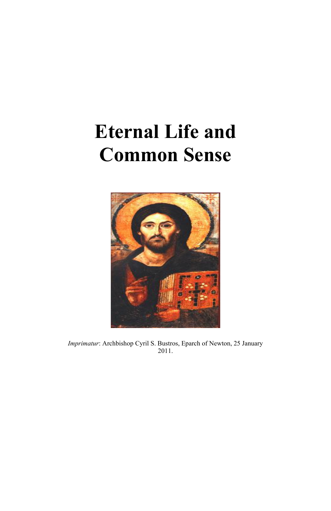# **Eternal Life and Common Sense**



*Imprimatur*: Archbishop Cyril S. Bustros, Eparch of Newton, 25 January 2011.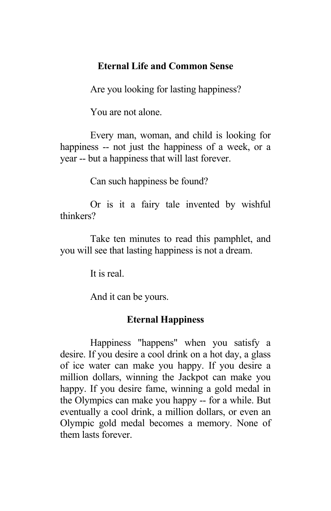# **Eternal Life and Common Sense**

Are you looking for lasting happiness?

You are not alone.

Every man, woman, and child is looking for happiness -- not just the happiness of a week, or a year -- but a happiness that will last forever.

Can such happiness be found?

Or is it a fairy tale invented by wishful thinkers?

Take ten minutes to read this pamphlet, and you will see that lasting happiness is not a dream.

It is real.

And it can be yours.

# **Eternal Happiness**

Happiness "happens" when you satisfy a desire. If you desire a cool drink on a hot day, a glass of ice water can make you happy. If you desire a million dollars, winning the Jackpot can make you happy. If you desire fame, winning a gold medal in the Olympics can make you happy -- for a while. But eventually a cool drink, a million dollars, or even an Olympic gold medal becomes a memory. None of them lasts forever.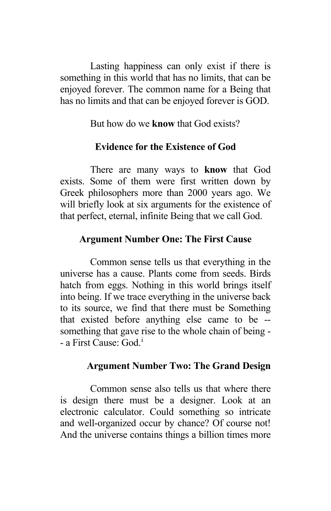Lasting happiness can only exist if there is something in this world that has no limits, that can be enjoyed forever. The common name for a Being that has no limits and that can be enjoyed forever is GOD.

But how do we **know** that God exists?

# **Evidence for the Existence of God**

There are many ways to **know** that God exists. Some of them were first written down by Greek philosophers more than 2000 years ago. We will briefly look at six arguments for the existence of that perfect, eternal, infinite Being that we call God.

### **Argument Number One: The First Cause**

Common sense tells us that everything in the universe has a cause. Plants come from seeds. Birds hatch from eggs. Nothing in this world brings itself into being. If we trace everything in the universe back to its source, we find that there must be Something that existed before anything else came to be - something that gave rise to the whole chain of being - a F[i](#page-4-0)rst Cause: God.<sup>i</sup>

#### **Argument Number Two: The Grand Design**

Common sense also tells us that where there is design there must be a designer. Look at an electronic calculator. Could something so intricate and well-organized occur by chance? Of course not! And the universe contains things a billion times more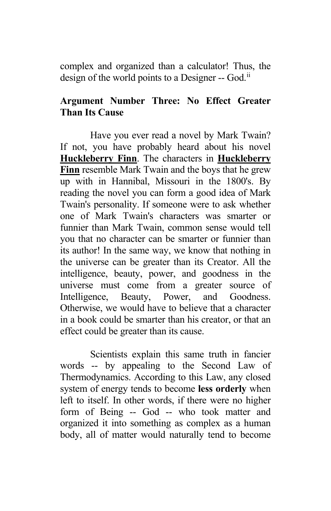complex and organized than a calculator! Thus, the design of the world points to a Designer -- God.<sup>[ii](#page-4-1)</sup>

# **Argument Number Three: No Effect Greater Than Its Cause**

Have you ever read a novel by Mark Twain? If not, you have probably heard about his novel **Huckleberry Finn**. The characters in **Huckleberry Finn** resemble Mark Twain and the boys that he grew up with in Hannibal, Missouri in the 1800's. By reading the novel you can form a good idea of Mark Twain's personality. If someone were to ask whether one of Mark Twain's characters was smarter or funnier than Mark Twain, common sense would tell you that no character can be smarter or funnier than its author! In the same way, we know that nothing in the universe can be greater than its Creator. All the intelligence, beauty, power, and goodness in the universe must come from a greater source of Intelligence, Beauty, Power, and Goodness. Otherwise, we would have to believe that a character in a book could be smarter than his creator, or that an effect could be greater than its cause.

Scientists explain this same truth in fancier words -- by appealing to the Second Law of Thermodynamics. According to this Law, any closed system of energy tends to become **less orderly** when left to itself. In other words, if there were no higher form of Being -- God -- who took matter and organized it into something as complex as a human body, all of matter would naturally tend to become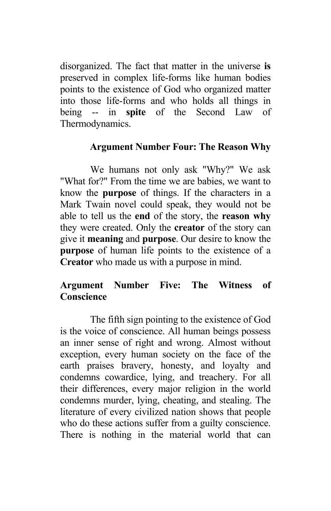<span id="page-4-1"></span><span id="page-4-0"></span>disorganized. The fact that matter in the universe **is** preserved in complex life-forms like human bodies points to the existence of God who organized matter into those life-forms and who holds all things in being -- in **spite** of the Second Law of Thermodynamics.

# **Argument Number Four: The Reason Why**

We humans not only ask "Why?" We ask "What for?" From the time we are babies, we want to know the **purpose** of things. If the characters in a Mark Twain novel could speak, they would not be able to tell us the **end** of the story, the **reason why** they were created. Only the **creator** of the story can give it **meaning** and **purpose**. Our desire to know the **purpose** of human life points to the existence of a **Creator** who made us with a purpose in mind.

# **Argument Number Five: The Witness of Conscience**

The fifth sign pointing to the existence of God is the voice of conscience. All human beings possess an inner sense of right and wrong. Almost without exception, every human society on the face of the earth praises bravery, honesty, and loyalty and condemns cowardice, lying, and treachery. For all their differences, every major religion in the world condemns murder, lying, cheating, and stealing. The literature of every civilized nation shows that people who do these actions suffer from a guilty conscience. There is nothing in the material world that can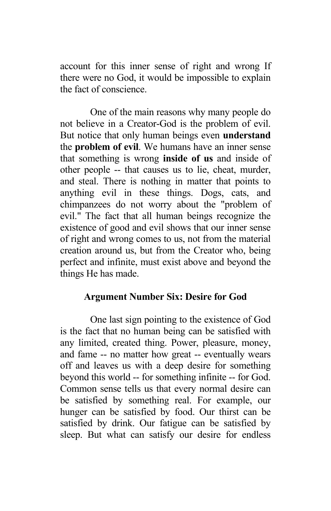account for this inner sense of right and wrong If there were no God, it would be impossible to explain the fact of conscience.

One of the main reasons why many people do not believe in a Creator-God is the problem of evil. But notice that only human beings even **understand** the **problem of evil**. We humans have an inner sense that something is wrong **inside of us** and inside of other people -- that causes us to lie, cheat, murder, and steal. There is nothing in matter that points to anything evil in these things. Dogs, cats, and chimpanzees do not worry about the "problem of evil." The fact that all human beings recognize the existence of good and evil shows that our inner sense of right and wrong comes to us, not from the material creation around us, but from the Creator who, being perfect and infinite, must exist above and beyond the things He has made.

### **Argument Number Six: Desire for God**

One last sign pointing to the existence of God is the fact that no human being can be satisfied with any limited, created thing. Power, pleasure, money, and fame -- no matter how great -- eventually wears off and leaves us with a deep desire for something beyond this world -- for something infinite -- for God. Common sense tells us that every normal desire can be satisfied by something real. For example, our hunger can be satisfied by food. Our thirst can be satisfied by drink. Our fatigue can be satisfied by sleep. But what can satisfy our desire for endless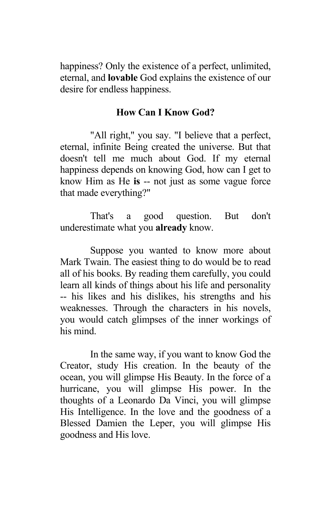happiness? Only the existence of a perfect, unlimited, eternal, and **lovable** God explains the existence of our desire for endless happiness.

### **How Can I Know God?**

"All right," you say. "I believe that a perfect, eternal, infinite Being created the universe. But that doesn't tell me much about God. If my eternal happiness depends on knowing God, how can I get to know Him as He **is** -- not just as some vague force that made everything?"

That's a good question. But don't underestimate what you **already** know.

Suppose you wanted to know more about Mark Twain. The easiest thing to do would be to read all of his books. By reading them carefully, you could learn all kinds of things about his life and personality -- his likes and his dislikes, his strengths and his weaknesses. Through the characters in his novels, you would catch glimpses of the inner workings of his mind.

In the same way, if you want to know God the Creator, study His creation. In the beauty of the ocean, you will glimpse His Beauty. In the force of a hurricane, you will glimpse His power. In the thoughts of a Leonardo Da Vinci, you will glimpse His Intelligence. In the love and the goodness of a Blessed Damien the Leper, you will glimpse His goodness and His love.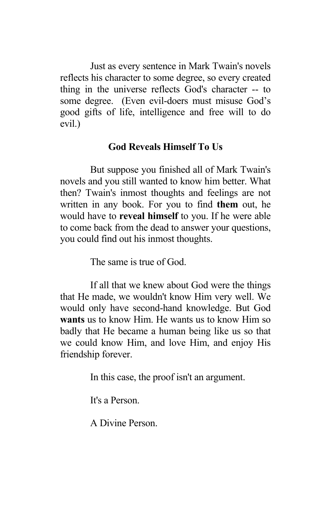Just as every sentence in Mark Twain's novels reflects his character to some degree, so every created thing in the universe reflects God's character -- to some degree. (Even evil-doers must misuse God's good gifts of life, intelligence and free will to do evil.)

# **God Reveals Himself To Us**

But suppose you finished all of Mark Twain's novels and you still wanted to know him better. What then? Twain's inmost thoughts and feelings are not written in any book. For you to find **them** out, he would have to **reveal himself** to you. If he were able to come back from the dead to answer your questions, you could find out his inmost thoughts.

The same is true of God.

If all that we knew about God were the things that He made, we wouldn't know Him very well. We would only have second-hand knowledge. But God **wants** us to know Him. He wants us to know Him so badly that He became a human being like us so that we could know Him, and love Him, and enjoy His friendship forever.

In this case, the proof isn't an argument.

It's a Person.

A Divine Person.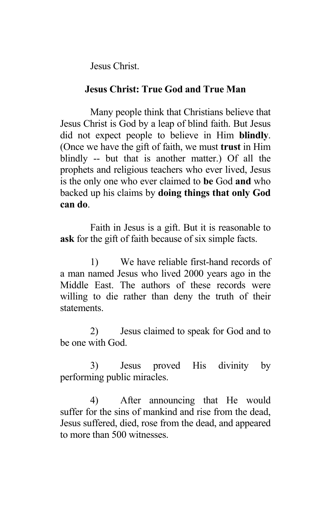Jesus Christ.

## **Jesus Christ: True God and True Man**

Many people think that Christians believe that Jesus Christ is God by a leap of blind faith. But Jesus did not expect people to believe in Him **blindly**. (Once we have the gift of faith, we must **trust** in Him blindly -- but that is another matter.) Of all the prophets and religious teachers who ever lived, Jesus is the only one who ever claimed to **be** God **and** who backed up his claims by **doing things that only God can do**.

Faith in Jesus is a gift. But it is reasonable to **ask** for the gift of faith because of six simple facts.

1) We have reliable first-hand records of a man named Jesus who lived 2000 years ago in the Middle East. The authors of these records were willing to die rather than deny the truth of their statements.

2) Jesus claimed to speak for God and to be one with God.

3) Jesus proved His divinity by performing public miracles.

4) After announcing that He would suffer for the sins of mankind and rise from the dead, Jesus suffered, died, rose from the dead, and appeared to more than 500 witnesses.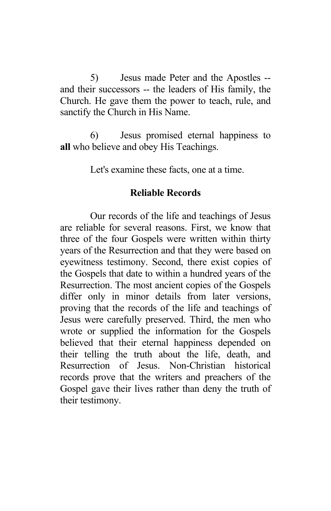5) Jesus made Peter and the Apostles - and their successors -- the leaders of His family, the Church. He gave them the power to teach, rule, and sanctify the Church in His Name.

6) Jesus promised eternal happiness to **all** who believe and obey His Teachings.

Let's examine these facts, one at a time.

#### **Reliable Records**

Our records of the life and teachings of Jesus are reliable for several reasons. First, we know that three of the four Gospels were written within thirty years of the Resurrection and that they were based on eyewitness testimony. Second, there exist copies of the Gospels that date to within a hundred years of the Resurrection. The most ancient copies of the Gospels differ only in minor details from later versions, proving that the records of the life and teachings of Jesus were carefully preserved. Third, the men who wrote or supplied the information for the Gospels believed that their eternal happiness depended on their telling the truth about the life, death, and Resurrection of Jesus. Non-Christian historical records prove that the writers and preachers of the Gospel gave their lives rather than deny the truth of their testimony.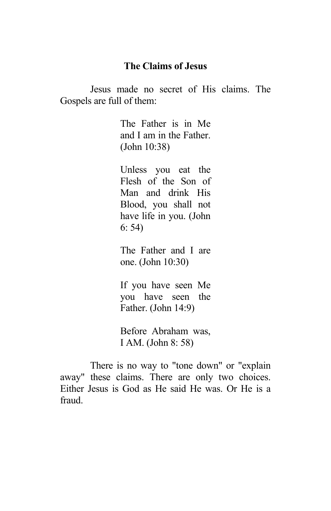#### **The Claims of Jesus**

Jesus made no secret of His claims. The Gospels are full of them:

> The Father is in Me and I am in the Father. (John 10:38)

Unless you eat the Flesh of the Son of Man and drink His Blood, you shall not have life in you. (John 6: 54)

The Father and I are one. (John 10:30)

If you have seen Me you have seen the Father. (John 14:9)

Before Abraham was, I AM. (John 8: 58)

There is no way to "tone down" or "explain away" these claims. There are only two choices. Either Jesus is God as He said He was. Or He is a fraud.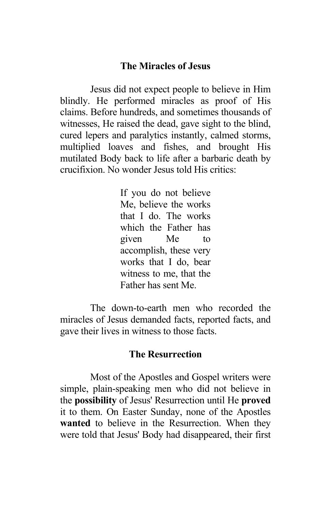#### **The Miracles of Jesus**

Jesus did not expect people to believe in Him blindly. He performed miracles as proof of His claims. Before hundreds, and sometimes thousands of witnesses, He raised the dead, gave sight to the blind, cured lepers and paralytics instantly, calmed storms, multiplied loaves and fishes, and brought His mutilated Body back to life after a barbaric death by crucifixion. No wonder Jesus told His critics:

> If you do not believe Me, believe the works that I do. The works which the Father has given Me to accomplish, these very works that I do, bear witness to me, that the Father has sent Me.

The down-to-earth men who recorded the miracles of Jesus demanded facts, reported facts, and gave their lives in witness to those facts.

#### **The Resurrection**

Most of the Apostles and Gospel writers were simple, plain-speaking men who did not believe in the **possibility** of Jesus' Resurrection until He **proved** it to them. On Easter Sunday, none of the Apostles **wanted** to believe in the Resurrection. When they were told that Jesus' Body had disappeared, their first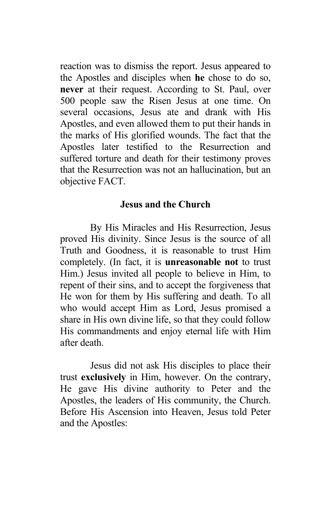reaction was to dismiss the report. Jesus appeared to the Apostles and disciples when **he** chose to do so, **never** at their request. According to St. Paul, over 500 people saw the Risen Jesus at one time. On several occasions, Jesus ate and drank with His Apostles, and even allowed them to put their hands in the marks of His glorified wounds. The fact that the Apostles later testified to the Resurrection and suffered torture and death for their testimony proves that the Resurrection was not an hallucination, but an objective FACT.

#### **Jesus and the Church**

By His Miracles and His Resurrection, Jesus proved His divinity. Since Jesus is the source of all Truth and Goodness, it is reasonable to trust Him completely. (In fact, it is **unreasonable not** to trust Him.) Jesus invited all people to believe in Him, to repent of their sins, and to accept the forgiveness that He won for them by His suffering and death. To all who would accept Him as Lord, Jesus promised a share in His own divine life, so that they could follow His commandments and enjoy eternal life with Him after death.

Jesus did not ask His disciples to place their trust **exclusively** in Him, however. On the contrary, He gave His divine authority to Peter and the Apostles, the leaders of His community, the Church. Before His Ascension into Heaven, Jesus told Peter and the Apostles: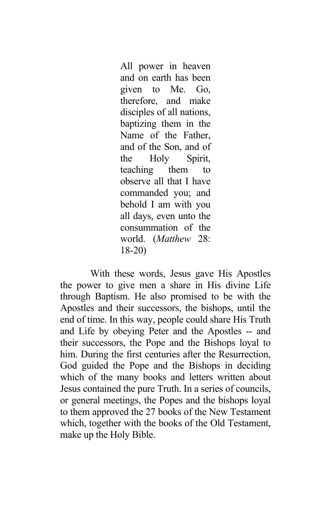All power in heaven and on earth has been given to Me. Go, therefore, and make disciples of all nations, baptizing them in the Name of the Father, and of the Son, and of the Holy Spirit, teaching them to observe all that I have commanded you; and behold I am with you all days, even unto the consummation of the world. (*Matthew* 28: 18-20)

With these words, Jesus gave His Apostles the power to give men a share in His divine Life through Baptism. He also promised to be with the Apostles and their successors, the bishops, until the end of time. In this way, people could share His Truth and Life by obeying Peter and the Apostles -- and their successors, the Pope and the Bishops loyal to him. During the first centuries after the Resurrection, God guided the Pope and the Bishops in deciding which of the many books and letters written about Jesus contained the pure Truth. In a series of councils, or general meetings, the Popes and the bishops loyal to them approved the 27 books of the New Testament which, together with the books of the Old Testament, make up the Holy Bible.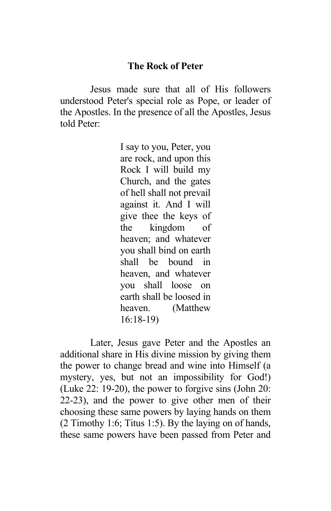### **The Rock of Peter**

Jesus made sure that all of His followers understood Peter's special role as Pope, or leader of the Apostles. In the presence of all the Apostles, Jesus told Peter:

> I say to you, Peter, you are rock, and upon this Rock I will build my Church, and the gates of hell shall not prevail against it. And I will give thee the keys of the kingdom of heaven; and whatever you shall bind on earth shall be bound in heaven, and whatever you shall loose on earth shall be loosed in heaven. (Matthew 16:18-19)

Later, Jesus gave Peter and the Apostles an additional share in His divine mission by giving them the power to change bread and wine into Himself (a mystery, yes, but not an impossibility for God!) (Luke 22: 19-20), the power to forgive sins (John 20: 22-23), and the power to give other men of their choosing these same powers by laying hands on them (2 Timothy 1:6; Titus 1:5). By the laying on of hands, these same powers have been passed from Peter and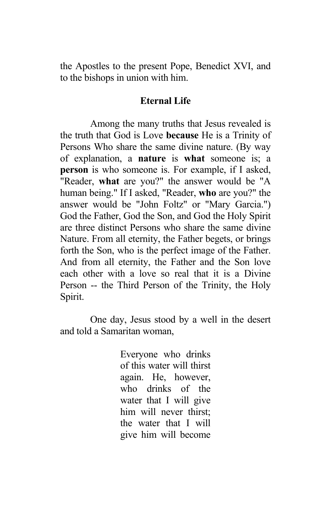the Apostles to the present Pope, Benedict XVI, and to the bishops in union with him.

#### **Eternal Life**

Among the many truths that Jesus revealed is the truth that God is Love **because** He is a Trinity of Persons Who share the same divine nature. (By way of explanation, a **nature** is **what** someone is; a **person** is who someone is. For example, if I asked, "Reader, **what** are you?" the answer would be "A human being." If I asked, "Reader, **who** are you?" the answer would be "John Foltz" or "Mary Garcia.") God the Father, God the Son, and God the Holy Spirit are three distinct Persons who share the same divine Nature. From all eternity, the Father begets, or brings forth the Son, who is the perfect image of the Father. And from all eternity, the Father and the Son love each other with a love so real that it is a Divine Person -- the Third Person of the Trinity, the Holy Spirit.

One day, Jesus stood by a well in the desert and told a Samaritan woman,

> Everyone who drinks of this water will thirst again. He, however, who drinks of the water that I will give him will never thirst; the water that I will give him will become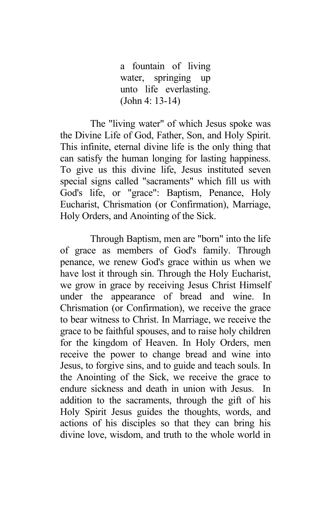a fountain of living water, springing up unto life everlasting. (John 4: 13-14)

The "living water" of which Jesus spoke was the Divine Life of God, Father, Son, and Holy Spirit. This infinite, eternal divine life is the only thing that can satisfy the human longing for lasting happiness. To give us this divine life, Jesus instituted seven special signs called "sacraments" which fill us with God's life, or "grace": Baptism, Penance, Holy Eucharist, Chrismation (or Confirmation), Marriage, Holy Orders, and Anointing of the Sick.

Through Baptism, men are "born" into the life of grace as members of God's family. Through penance, we renew God's grace within us when we have lost it through sin. Through the Holy Eucharist, we grow in grace by receiving Jesus Christ Himself under the appearance of bread and wine. In Chrismation (or Confirmation), we receive the grace to bear witness to Christ. In Marriage, we receive the grace to be faithful spouses, and to raise holy children for the kingdom of Heaven. In Holy Orders, men receive the power to change bread and wine into Jesus, to forgive sins, and to guide and teach souls. In the Anointing of the Sick, we receive the grace to endure sickness and death in union with Jesus. In addition to the sacraments, through the gift of his Holy Spirit Jesus guides the thoughts, words, and actions of his disciples so that they can bring his divine love, wisdom, and truth to the whole world in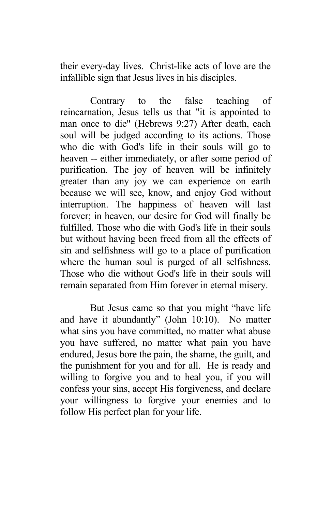their every-day lives. Christ-like acts of love are the infallible sign that Jesus lives in his disciples.

Contrary to the false teaching of reincarnation, Jesus tells us that "it is appointed to man once to die" (Hebrews 9:27) After death, each soul will be judged according to its actions. Those who die with God's life in their souls will go to heaven -- either immediately, or after some period of purification. The joy of heaven will be infinitely greater than any joy we can experience on earth because we will see, know, and enjoy God without interruption. The happiness of heaven will last forever; in heaven, our desire for God will finally be fulfilled. Those who die with God's life in their souls but without having been freed from all the effects of sin and selfishness will go to a place of purification where the human soul is purged of all selfishness. Those who die without God's life in their souls will remain separated from Him forever in eternal misery.

But Jesus came so that you might "have life and have it abundantly" (John 10:10). No matter what sins you have committed, no matter what abuse you have suffered, no matter what pain you have endured, Jesus bore the pain, the shame, the guilt, and the punishment for you and for all. He is ready and willing to forgive you and to heal you, if you will confess your sins, accept His forgiveness, and declare your willingness to forgive your enemies and to follow His perfect plan for your life.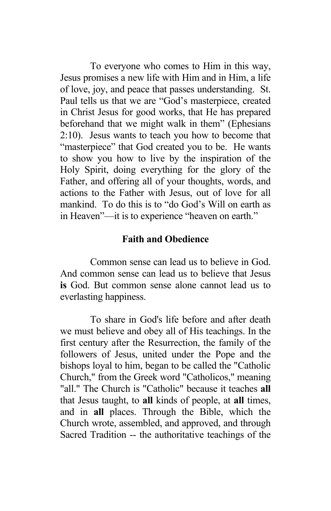To everyone who comes to Him in this way, Jesus promises a new life with Him and in Him, a life of love, joy, and peace that passes understanding. St. Paul tells us that we are "God's masterpiece, created in Christ Jesus for good works, that He has prepared beforehand that we might walk in them" (Ephesians 2:10). Jesus wants to teach you how to become that "masterpiece" that God created you to be. He wants to show you how to live by the inspiration of the Holy Spirit, doing everything for the glory of the Father, and offering all of your thoughts, words, and actions to the Father with Jesus, out of love for all mankind. To do this is to "do God's Will on earth as in Heaven"—it is to experience "heaven on earth."

### **Faith and Obedience**

Common sense can lead us to believe in God. And common sense can lead us to believe that Jesus **is** God. But common sense alone cannot lead us to everlasting happiness.

To share in God's life before and after death we must believe and obey all of His teachings. In the first century after the Resurrection, the family of the followers of Jesus, united under the Pope and the bishops loyal to him, began to be called the "Catholic Church," from the Greek word "Catholicos," meaning "all." The Church is "Catholic" because it teaches **all** that Jesus taught, to **all** kinds of people, at **all** times, and in **all** places. Through the Bible, which the Church wrote, assembled, and approved, and through Sacred Tradition -- the authoritative teachings of the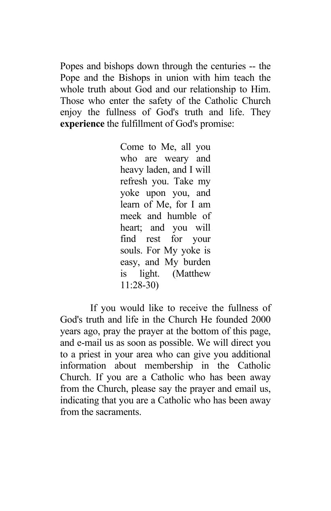Popes and bishops down through the centuries -- the Pope and the Bishops in union with him teach the whole truth about God and our relationship to Him. Those who enter the safety of the Catholic Church enjoy the fullness of God's truth and life. They **experience** the fulfillment of God's promise:

> Come to Me, all you who are weary and heavy laden, and I will refresh you. Take my yoke upon you, and learn of Me, for I am meek and humble of heart; and you will find rest for your souls. For My yoke is easy, and My burden is light. (Matthew 11:28-30)

If you would like to receive the fullness of God's truth and life in the Church He founded 2000 years ago, pray the prayer at the bottom of this page, and e-mail us as soon as possible. We will direct you to a priest in your area who can give you additional information about membership in the Catholic Church. If you are a Catholic who has been away from the Church, please say the prayer and email us, indicating that you are a Catholic who has been away from the sacraments.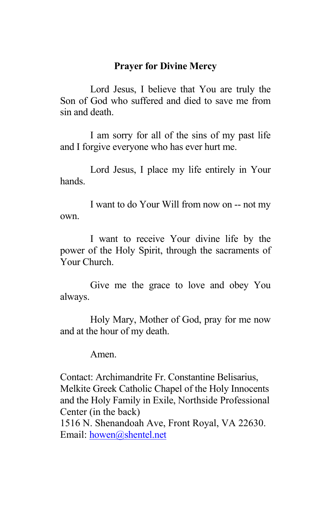# **Prayer for Divine Mercy**

Lord Jesus, I believe that You are truly the Son of God who suffered and died to save me from sin and death.

I am sorry for all of the sins of my past life and I forgive everyone who has ever hurt me.

Lord Jesus, I place my life entirely in Your hands.

I want to do Your Will from now on -- not my own.

I want to receive Your divine life by the power of the Holy Spirit, through the sacraments of Your Church.

Give me the grace to love and obey You always.

Holy Mary, Mother of God, pray for me now and at the hour of my death.

Amen.

Contact: Archimandrite Fr. Constantine Belisarius, Melkite Greek Catholic Chapel of the Holy Innocents and the Holy Family in Exile, Northside Professional Center (in the back)

1516 N. Shenandoah Ave, Front Royal, VA 22630. Email: [howen@shentel.net](mailto:howen@shentel.net)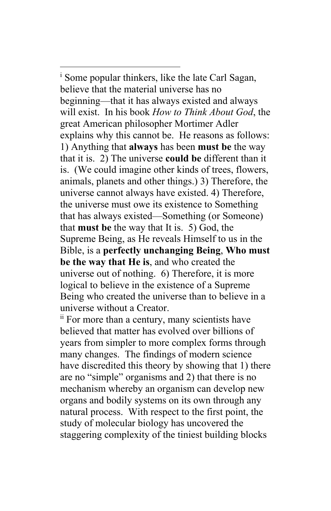i Some popular thinkers, like the late Carl Sagan, believe that the material universe has no beginning—that it has always existed and always will exist. In his book *How to Think About God*, the great American philosopher Mortimer Adler explains why this cannot be. He reasons as follows: 1) Anything that **always** has been **must be** the way that it is. 2) The universe **could be** different than it is. (We could imagine other kinds of trees, flowers, animals, planets and other things.) 3) Therefore, the universe cannot always have existed. 4) Therefore, the universe must owe its existence to Something that has always existed—Something (or Someone) that **must be** the way that It is. 5) God, the Supreme Being, as He reveals Himself to us in the Bible, is a **perfectly unchanging Being**, **Who must be the way that He is**, and who created the universe out of nothing. 6) Therefore, it is more logical to believe in the existence of a Supreme Being who created the universe than to believe in a universe without a Creator.

<sup>ii</sup> For more than a century, many scientists have believed that matter has evolved over billions of years from simpler to more complex forms through many changes. The findings of modern science have discredited this theory by showing that 1) there are no "simple" organisms and 2) that there is no mechanism whereby an organism can develop new organs and bodily systems on its own through any natural process. With respect to the first point, the study of molecular biology has uncovered the staggering complexity of the tiniest building blocks